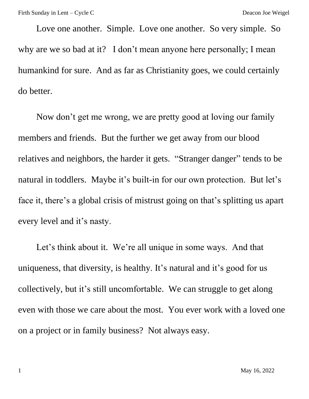Love one another. Simple. Love one another. So very simple. So why are we so bad at it? I don't mean anyone here personally; I mean humankind for sure. And as far as Christianity goes, we could certainly do better.

Now don't get me wrong, we are pretty good at loving our family members and friends. But the further we get away from our blood relatives and neighbors, the harder it gets. "Stranger danger" tends to be natural in toddlers. Maybe it's built-in for our own protection. But let's face it, there's a global crisis of mistrust going on that's splitting us apart every level and it's nasty.

Let's think about it. We're all unique in some ways. And that uniqueness, that diversity, is healthy. It's natural and it's good for us collectively, but it's still uncomfortable. We can struggle to get along even with those we care about the most. You ever work with a loved one on a project or in family business? Not always easy.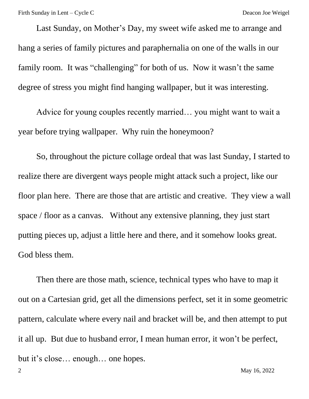Last Sunday, on Mother's Day, my sweet wife asked me to arrange and hang a series of family pictures and paraphernalia on one of the walls in our family room. It was "challenging" for both of us. Now it wasn't the same degree of stress you might find hanging wallpaper, but it was interesting.

Advice for young couples recently married… you might want to wait a year before trying wallpaper. Why ruin the honeymoon?

So, throughout the picture collage ordeal that was last Sunday, I started to realize there are divergent ways people might attack such a project, like our floor plan here. There are those that are artistic and creative. They view a wall space / floor as a canvas. Without any extensive planning, they just start putting pieces up, adjust a little here and there, and it somehow looks great. God bless them.

Then there are those math, science, technical types who have to map it out on a Cartesian grid, get all the dimensions perfect, set it in some geometric pattern, calculate where every nail and bracket will be, and then attempt to put it all up. But due to husband error, I mean human error, it won't be perfect, but it's close… enough… one hopes.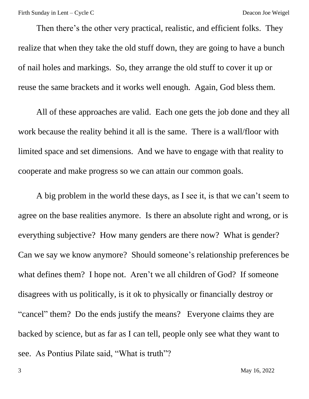Then there's the other very practical, realistic, and efficient folks. They realize that when they take the old stuff down, they are going to have a bunch of nail holes and markings. So, they arrange the old stuff to cover it up or reuse the same brackets and it works well enough. Again, God bless them.

All of these approaches are valid. Each one gets the job done and they all work because the reality behind it all is the same. There is a wall/floor with limited space and set dimensions. And we have to engage with that reality to cooperate and make progress so we can attain our common goals.

A big problem in the world these days, as I see it, is that we can't seem to agree on the base realities anymore. Is there an absolute right and wrong, or is everything subjective? How many genders are there now? What is gender? Can we say we know anymore? Should someone's relationship preferences be what defines them? I hope not. Aren't we all children of God? If someone disagrees with us politically, is it ok to physically or financially destroy or "cancel" them? Do the ends justify the means? Everyone claims they are backed by science, but as far as I can tell, people only see what they want to see. As Pontius Pilate said, "What is truth"?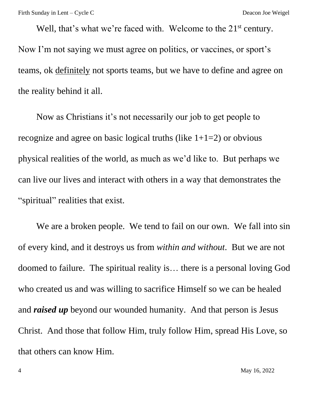Well, that's what we're faced with. Welcome to the 21<sup>st</sup> century. Now I'm not saying we must agree on politics, or vaccines, or sport's teams, ok definitely not sports teams, but we have to define and agree on the reality behind it all.

Now as Christians it's not necessarily our job to get people to recognize and agree on basic logical truths (like  $1+1=2$ ) or obvious physical realities of the world, as much as we'd like to. But perhaps we can live our lives and interact with others in a way that demonstrates the "spiritual" realities that exist.

We are a broken people. We tend to fail on our own. We fall into sin of every kind, and it destroys us from *within and without*. But we are not doomed to failure. The spiritual reality is… there is a personal loving God who created us and was willing to sacrifice Himself so we can be healed and *raised up* beyond our wounded humanity. And that person is Jesus Christ. And those that follow Him, truly follow Him, spread His Love, so that others can know Him.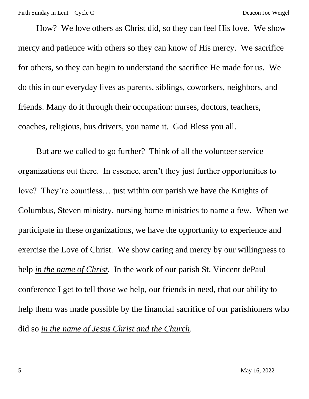How? We love others as Christ did, so they can feel His love. We show mercy and patience with others so they can know of His mercy. We sacrifice for others, so they can begin to understand the sacrifice He made for us. We do this in our everyday lives as parents, siblings, coworkers, neighbors, and friends. Many do it through their occupation: nurses, doctors, teachers, coaches, religious, bus drivers, you name it. God Bless you all.

But are we called to go further? Think of all the volunteer service organizations out there. In essence, aren't they just further opportunities to love? They're countless… just within our parish we have the Knights of Columbus, Steven ministry, nursing home ministries to name a few. When we participate in these organizations, we have the opportunity to experience and exercise the Love of Christ. We show caring and mercy by our willingness to help *in the name of Christ*. In the work of our parish St. Vincent dePaul conference I get to tell those we help, our friends in need, that our ability to help them was made possible by the financial sacrifice of our parishioners who did so *in the name of Jesus Christ and the Church*.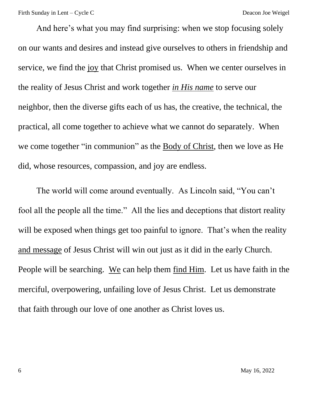And here's what you may find surprising: when we stop focusing solely on our wants and desires and instead give ourselves to others in friendship and service, we find the joy that Christ promised us. When we center ourselves in the reality of Jesus Christ and work together *in His name* to serve our neighbor, then the diverse gifts each of us has, the creative, the technical, the practical, all come together to achieve what we cannot do separately. When we come together "in communion" as the Body of Christ, then we love as He did, whose resources, compassion, and joy are endless.

The world will come around eventually. As Lincoln said, "You can't fool all the people all the time." All the lies and deceptions that distort reality will be exposed when things get too painful to ignore. That's when the reality and message of Jesus Christ will win out just as it did in the early Church. People will be searching. We can help them find Him. Let us have faith in the merciful, overpowering, unfailing love of Jesus Christ. Let us demonstrate that faith through our love of one another as Christ loves us.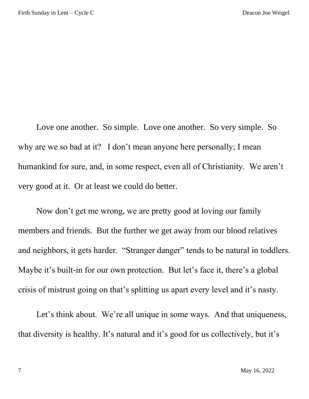Love one another. So simple. Love one another. So very simple. So why are we so bad at it? I don't mean anyone here personally; I mean humankind for sure, and, in some respect, even all of Christianity. We aren't very good at it. Or at least we could do better.

Now don't get me wrong, we are pretty good at loving our family members and friends. But the further we get away from our blood relatives and neighbors, it gets harder. "Stranger danger" tends to be natural in toddlers. Maybe it's built-in for our own protection. But let's face it, there's a global crisis of mistrust going on that's splitting us apart every level and it's nasty.

Let's think about. We're all unique in some ways. And that uniqueness, that diversity is healthy. It's natural and it's good for us collectively, but it's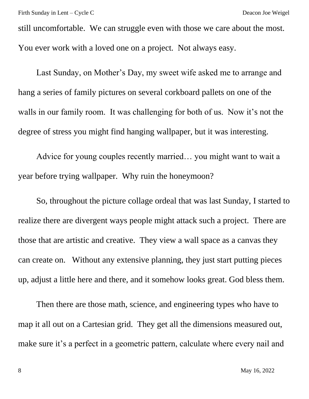still uncomfortable. We can struggle even with those we care about the most. You ever work with a loved one on a project. Not always easy.

Last Sunday, on Mother's Day, my sweet wife asked me to arrange and hang a series of family pictures on several corkboard pallets on one of the walls in our family room. It was challenging for both of us. Now it's not the degree of stress you might find hanging wallpaper, but it was interesting.

Advice for young couples recently married… you might want to wait a year before trying wallpaper. Why ruin the honeymoon?

So, throughout the picture collage ordeal that was last Sunday, I started to realize there are divergent ways people might attack such a project. There are those that are artistic and creative. They view a wall space as a canvas they can create on. Without any extensive planning, they just start putting pieces up, adjust a little here and there, and it somehow looks great. God bless them.

Then there are those math, science, and engineering types who have to map it all out on a Cartesian grid. They get all the dimensions measured out, make sure it's a perfect in a geometric pattern, calculate where every nail and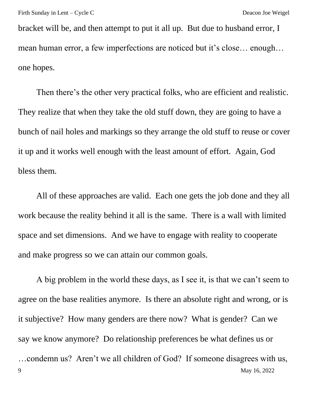bracket will be, and then attempt to put it all up. But due to husband error, I mean human error, a few imperfections are noticed but it's close… enough… one hopes.

Then there's the other very practical folks, who are efficient and realistic. They realize that when they take the old stuff down, they are going to have a bunch of nail holes and markings so they arrange the old stuff to reuse or cover it up and it works well enough with the least amount of effort. Again, God bless them.

All of these approaches are valid. Each one gets the job done and they all work because the reality behind it all is the same. There is a wall with limited space and set dimensions. And we have to engage with reality to cooperate and make progress so we can attain our common goals.

9 May 16, 2022 A big problem in the world these days, as I see it, is that we can't seem to agree on the base realities anymore. Is there an absolute right and wrong, or is it subjective? How many genders are there now? What is gender? Can we say we know anymore? Do relationship preferences be what defines us or …condemn us? Aren't we all children of God? If someone disagrees with us,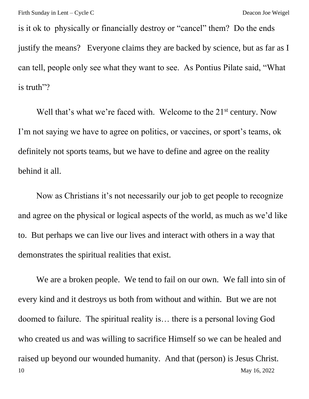is it ok to physically or financially destroy or "cancel" them? Do the ends justify the means? Everyone claims they are backed by science, but as far as I can tell, people only see what they want to see. As Pontius Pilate said, "What is truth"?

Well that's what we're faced with. Welcome to the  $21<sup>st</sup>$  century. Now I'm not saying we have to agree on politics, or vaccines, or sport's teams, ok definitely not sports teams, but we have to define and agree on the reality behind it all.

Now as Christians it's not necessarily our job to get people to recognize and agree on the physical or logical aspects of the world, as much as we'd like to. But perhaps we can live our lives and interact with others in a way that demonstrates the spiritual realities that exist.

10 May 16, 2022 We are a broken people. We tend to fail on our own. We fall into sin of every kind and it destroys us both from without and within. But we are not doomed to failure. The spiritual reality is… there is a personal loving God who created us and was willing to sacrifice Himself so we can be healed and raised up beyond our wounded humanity. And that (person) is Jesus Christ.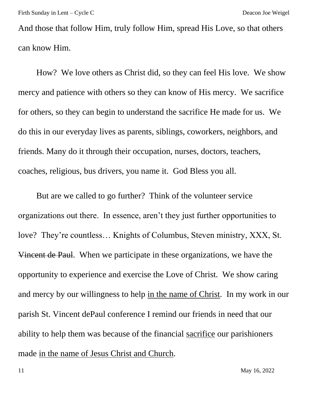And those that follow Him, truly follow Him, spread His Love, so that others can know Him.

How? We love others as Christ did, so they can feel His love. We show mercy and patience with others so they can know of His mercy. We sacrifice for others, so they can begin to understand the sacrifice He made for us. We do this in our everyday lives as parents, siblings, coworkers, neighbors, and friends. Many do it through their occupation, nurses, doctors, teachers, coaches, religious, bus drivers, you name it. God Bless you all.

But are we called to go further? Think of the volunteer service organizations out there. In essence, aren't they just further opportunities to love? They're countless… Knights of Columbus, Steven ministry, XXX, St. Vincent de Paul. When we participate in these organizations, we have the opportunity to experience and exercise the Love of Christ. We show caring and mercy by our willingness to help in the name of Christ. In my work in our parish St. Vincent dePaul conference I remind our friends in need that our ability to help them was because of the financial sacrifice our parishioners made in the name of Jesus Christ and Church.